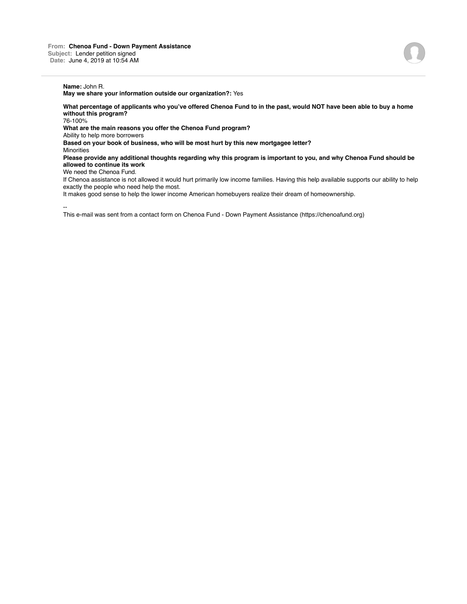**May we share your information outside our organization?:** Yes

**What percentage of applicants who you've offered Chenoa Fund to in the past, would NOT have been able to buy a home without this program?**

76-100%

**What are the main reasons you offer the Chenoa Fund program?**

Ability to help more borrowers

**Based on your book of business, who will be most hurt by this new mortgagee letter?**

**Minorities** 

**Please provide any additional thoughts regarding why this program is important to you, and why Chenoa Fund should be allowed to continue its work**

We need the Chenoa Fund.

If Chenoa assistance is not allowed it would hurt primarily low income families. Having this help available supports our ability to help exactly the people who need help the most.

It makes good sense to help the lower income American homebuyers realize their dream of homeownership.

--

This e-mail was sent from a contact form on Chenoa Fund - Down Payment Assistance (https://chenoafund.org)